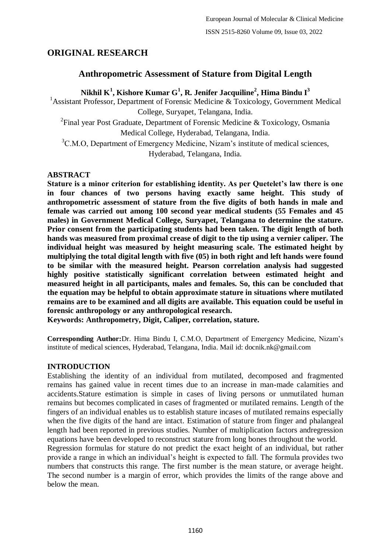# **ORIGINAL RESEARCH**

# **Anthropometric Assessment of Stature from Digital Length**

# **Nikhil K<sup>1</sup> , Kishore Kumar G<sup>1</sup> , R. Jenifer Jacquiline<sup>2</sup> , Hima Bindu I<sup>3</sup>**

<sup>1</sup> Assistant Professor, Department of Forensic Medicine & Toxicology, Government Medical College, Suryapet, Telangana, India.

<sup>2</sup> Final year Post Graduate, Department of Forensic Medicine & Toxicology, Osmania Medical College, Hyderabad, Telangana, India.

<sup>3</sup>C.M.O, Department of Emergency Medicine, Nizam's institute of medical sciences, Hyderabad, Telangana, India.

### **ABSTRACT**

**Stature is a minor criterion for establishing identity. As per Quetelet's law there is one in four chances of two persons having exactly same height. This study of anthropometric assessment of stature from the five digits of both hands in male and female was carried out among 100 second year medical students (55 Females and 45 males) in Government Medical College, Suryapet, Telangana to determine the stature. Prior consent from the participating students had been taken. The digit length of both hands was measured from proximal crease of digit to the tip using a vernier caliper. The individual height was measured by height measuring scale. The estimated height by multiplying the total digital length with five (05) in both right and left hands were found to be similar with the measured height. Pearson correlation analysis had suggested highly positive statistically significant correlation between estimated height and measured height in all participants, males and females. So, this can be concluded that the equation may be helpful to obtain approximate stature in situations where mutilated remains are to be examined and all digits are available. This equation could be useful in forensic anthropology or any anthropological research.**

**Keywords: Anthropometry, Digit, Caliper, correlation, stature.**

**Corresponding Author:**Dr. Hima Bindu I, C.M.O, Department of Emergency Medicine, Nizam's institute of medical sciences, Hyderabad, Telangana, India. Mail id: docnik.nk@gmail.com

### **INTRODUCTION**

Establishing the identity of an individual from mutilated, decomposed and fragmented remains has gained value in recent times due to an increase in man-made calamities and accidents.Stature estimation is simple in cases of living persons or unmutilated human remains but becomes complicated in cases of fragmented or mutilated remains. Length of the fingers of an individual enables us to establish stature incases of mutilated remains especially when the five digits of the hand are intact. Estimation of stature from finger and phalangeal length had been reported in previous studies. Number of multiplication factors andregression equations have been developed to reconstruct stature from long bones throughout the world. Regression formulas for stature do not predict the exact height of an individual, but rather provide a range in which an individual's height is expected to fall. The formula provides two

numbers that constructs this range. The first number is the mean stature, or average height. The second number is a margin of error, which provides the limits of the range above and below the mean.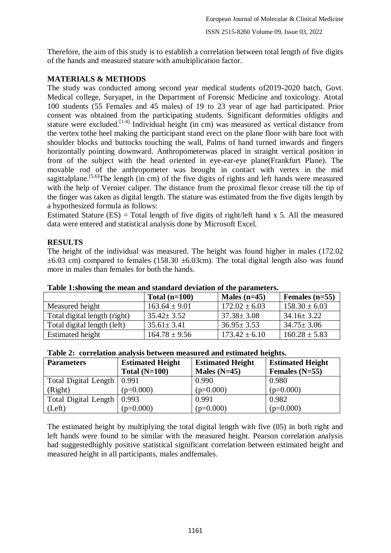Therefore, the aim of this study is to establish a correlation between total length of five digits of the hands and measured stature with amultiplication factor.

### **MATERIALS & METHODS**

The study was conducted among second year medical students of2019-2020 batch, Govt. Medical college, Suryapet, in the Department of Forensic Medicine and toxicology. Atotal 100 students (55 Females and 45 males) of 19 to 23 year of age had participated. Prior consent was obtained from the participating students. Significant deformities ofdigits and stature were excluded.[1-4] Individual height (in cm) was measured as vertical distance from the vertex tothe heel making the participant stand erect on the plane floor with bare foot with shoulder blocks and buttocks touching the wall, Palms of hand turned inwards and fingers horizontally pointing downward. Anthropometerwas placed in straight vertical position in front of the subject with the head oriented in eye-ear-eye plane(Frankfurt Plane). The movable rod of the anthropometer was brought in contact with vertex in the mid sagittalplane.<sup>[5,6]</sup>The length (in cm) of the five digits of rights and left hands were measured with the help of Vernier caliper. The distance from the proximal flexor crease till the tip of the finger was taken as digital length. The stature was estimated from the five digits length by a hypothesized formula as follows:

Estimated Stature  $(ES)$  = Total length of five digits of right/left hand x 5. All the measured data were entered and statistical analysis done by Microsoft Excel.

### **RESULTS**

The height of the individual was measured. The height was found higher in males (172.02  $\pm 6.03$  cm) compared to females (158.30  $\pm 6.03$ cm). The total digital length also was found more in males than females for both the hands.

|                              | Total $(n=100)$   | Males $(n=45)$    | Females $(n=55)$  |  |  |  |
|------------------------------|-------------------|-------------------|-------------------|--|--|--|
| Measured height              | $163.64 \pm 9.01$ | $172.02 \pm 6.03$ | $158.30 \pm 6.03$ |  |  |  |
| Total digital length (right) | $35.42 \pm 3.52$  | $37.38 \pm 3.08$  | $34.16 \pm 3.22$  |  |  |  |
| Total digital length (left)  | $35.61 \pm 3.41$  | $36.95 \pm 3.53$  | $34.75 \pm 3.06$  |  |  |  |
| Estimated height             | $164.78 \pm 9.56$ | $173.42 \pm 6.10$ | $160.28 \pm 5.83$ |  |  |  |

**Table 1:showing the mean and standard deviation of the parameters.**

| Table 2: correlation analysis between measured and estimated heights. |  |  |  |
|-----------------------------------------------------------------------|--|--|--|
|                                                                       |  |  |  |

| <b>Parameters</b>            | <b>Estimated Height</b> | <b>Estimated Height</b> | <b>Estimated Height</b> |
|------------------------------|-------------------------|-------------------------|-------------------------|
|                              | Total $(N=100)$         | Males $(N=45)$          | Females $(N=55)$        |
| Total Digital Length   0.991 |                         | 0.990                   | 0.980                   |
| (Right)                      | $(p=0.000)$             | $(p=0.000)$             | $(p=0.000)$             |
| Total Digital Length   0.993 |                         | 0.991                   | 0.982                   |
| (Left)                       | $(p=0.000)$             | $(p=0.000)$             | $(p=0.000)$             |

The estimated height by multiplying the total digital length with five (05) in both right and left hands were found to be similar with the measured height. Pearson correlation analysis had suggestedhighly positive statistical significant correlation between estimated height and measured height in all participants, males andfemales.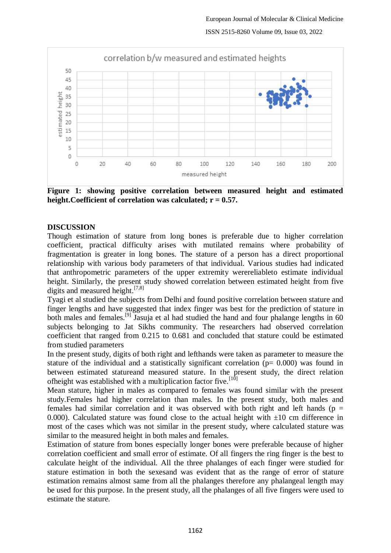

**Figure 1: showing positive correlation between measured height and estimated height.Coefficient of correlation was calculated; r = 0.57.**

### **DISCUSSION**

Though estimation of stature from long bones is preferable due to higher correlation coefficient, practical difficulty arises with mutilated remains where probability of fragmentation is greater in long bones. The stature of a person has a direct proportional relationship with various body parameters of that individual. Various studies had indicated that anthropometric parameters of the upper extremity werereliableto estimate individual height. Similarly, the present study showed correlation between estimated height from five digits and measured height.<sup>[7,8]</sup>

Tyagi et al studied the subjects from Delhi and found positive correlation between stature and finger lengths and have suggested that index finger was best for the prediction of stature in both males and females.<sup>[9]</sup> Jasuja et al had studied the hand and four phalange lengths in 60 subjects belonging to Jat Sikhs community. The researchers had observed correlation coefficient that ranged from 0.215 to 0.681 and concluded that stature could be estimated from studied parameters

In the present study, digits of both right and lefthands were taken as parameter to measure the stature of the individual and a statistically significant correlation ( $p= 0.000$ ) was found in between estimated statureand measured stature. In the present study, the direct relation ofheight was established with a multiplication factor five.  $[10]$ 

Mean stature, higher in males as compared to females was found similar with the present study.Females had higher correlation than males. In the present study, both males and females had similar correlation and it was observed with both right and left hands ( $p =$ 0.000). Calculated stature was found close to the actual height with  $\pm 10$  cm difference in most of the cases which was not similar in the present study, where calculated stature was similar to the measured height in both males and females.

Estimation of stature from bones especially longer bones were preferable because of higher correlation coefficient and small error of estimate. Of all fingers the ring finger is the best to calculate height of the individual. All the three phalanges of each finger were studied for stature estimation in both the sexesand was evident that as the range of error of stature estimation remains almost same from all the phalanges therefore any phalangeal length may be used for this purpose. In the present study, all the phalanges of all five fingers were used to estimate the stature.